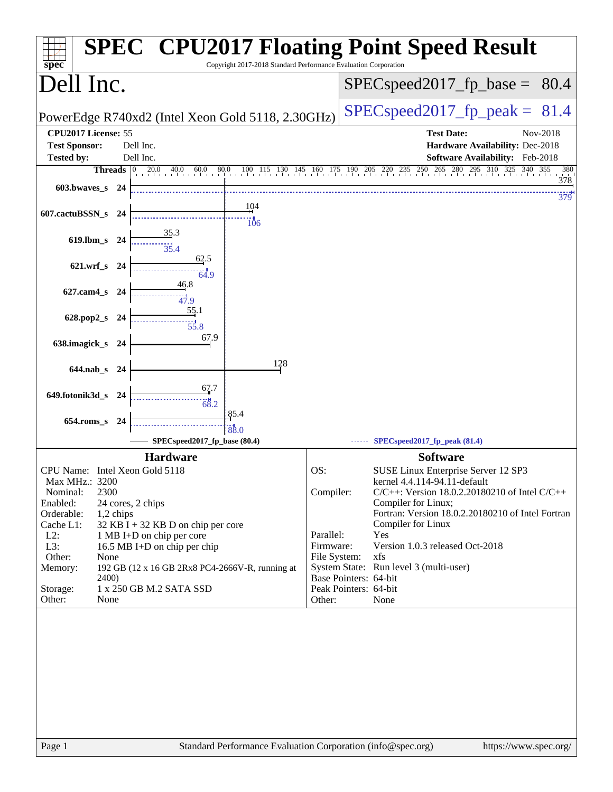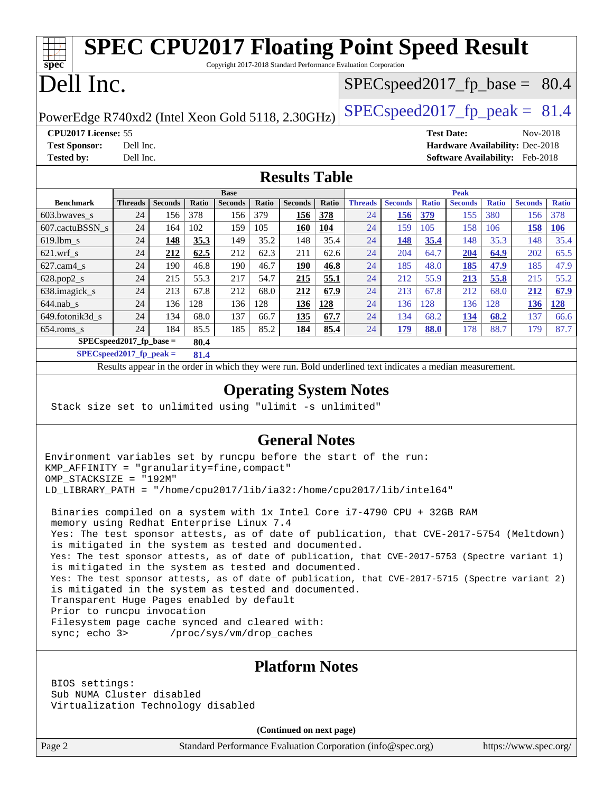| <b>SPEC CPU2017 Floating Point Speed Result</b><br>Copyright 2017-2018 Standard Performance Evaluation Corporation                                                                                                                                                                                                                                                                                                                                                                                                                                                                                                                                                                                                                                                                                                                               |                                                                                           |                |              |                |              |                   |              |                                                                                                          |                |              |                                 |              |                       |              |
|--------------------------------------------------------------------------------------------------------------------------------------------------------------------------------------------------------------------------------------------------------------------------------------------------------------------------------------------------------------------------------------------------------------------------------------------------------------------------------------------------------------------------------------------------------------------------------------------------------------------------------------------------------------------------------------------------------------------------------------------------------------------------------------------------------------------------------------------------|-------------------------------------------------------------------------------------------|----------------|--------------|----------------|--------------|-------------------|--------------|----------------------------------------------------------------------------------------------------------|----------------|--------------|---------------------------------|--------------|-----------------------|--------------|
| $spec^*$<br>Dell Inc.                                                                                                                                                                                                                                                                                                                                                                                                                                                                                                                                                                                                                                                                                                                                                                                                                            |                                                                                           |                |              |                |              |                   |              |                                                                                                          |                |              |                                 |              |                       |              |
| $SPEC speed2017_f p\_base = 80.4$<br>$SPEC speed2017_fp\_peak = 81.4$<br>PowerEdge R740xd2 (Intel Xeon Gold 5118, 2.30GHz)                                                                                                                                                                                                                                                                                                                                                                                                                                                                                                                                                                                                                                                                                                                       |                                                                                           |                |              |                |              |                   |              |                                                                                                          |                |              |                                 |              |                       |              |
|                                                                                                                                                                                                                                                                                                                                                                                                                                                                                                                                                                                                                                                                                                                                                                                                                                                  |                                                                                           |                |              |                |              |                   |              |                                                                                                          |                |              |                                 |              |                       |              |
| CPU2017 License: 55                                                                                                                                                                                                                                                                                                                                                                                                                                                                                                                                                                                                                                                                                                                                                                                                                              |                                                                                           |                |              |                |              |                   |              |                                                                                                          |                |              | <b>Test Date:</b>               |              | Nov-2018              |              |
| <b>Test Sponsor:</b>                                                                                                                                                                                                                                                                                                                                                                                                                                                                                                                                                                                                                                                                                                                                                                                                                             | Dell Inc.                                                                                 |                |              |                |              |                   |              |                                                                                                          |                |              | Hardware Availability: Dec-2018 |              |                       |              |
|                                                                                                                                                                                                                                                                                                                                                                                                                                                                                                                                                                                                                                                                                                                                                                                                                                                  | <b>Tested by:</b><br>Dell Inc.<br>Software Availability: Feb-2018<br><b>Results Table</b> |                |              |                |              |                   |              |                                                                                                          |                |              |                                 |              |                       |              |
|                                                                                                                                                                                                                                                                                                                                                                                                                                                                                                                                                                                                                                                                                                                                                                                                                                                  |                                                                                           |                |              | <b>Base</b>    |              |                   |              |                                                                                                          |                |              | <b>Peak</b>                     |              |                       |              |
| <b>Benchmark</b>                                                                                                                                                                                                                                                                                                                                                                                                                                                                                                                                                                                                                                                                                                                                                                                                                                 | Threads                                                                                   | <b>Seconds</b> | Ratio        | <b>Seconds</b> | Ratio        | <b>Seconds</b>    | Ratio        | <b>Threads</b>                                                                                           | <b>Seconds</b> | <b>Ratio</b> | <b>Seconds</b>                  | <b>Ratio</b> | <b>Seconds</b>        | <b>Ratio</b> |
| 603.bwaves_s                                                                                                                                                                                                                                                                                                                                                                                                                                                                                                                                                                                                                                                                                                                                                                                                                                     | 24                                                                                        | 156            | 378          | 156            | 379          | <b>156</b>        | 378          | 24                                                                                                       | <b>156</b>     | <u>379</u>   | 155                             | 380          | 156                   | 378          |
| 607.cactuBSSN_s                                                                                                                                                                                                                                                                                                                                                                                                                                                                                                                                                                                                                                                                                                                                                                                                                                  | 24                                                                                        | 164            | 102          | 159            | 105          | <b>160</b>        | 104          | 24                                                                                                       | 159            | 105          | 158                             | 106          | <b>158</b>            | <b>106</b>   |
| 619.lbm s                                                                                                                                                                                                                                                                                                                                                                                                                                                                                                                                                                                                                                                                                                                                                                                                                                        | 24                                                                                        | <u>148</u>     | 35.3         | 149            | 35.2         | 148               | 35.4         | 24                                                                                                       | <b>148</b>     | 35.4         | 148                             | 35.3         | 148                   | 35.4         |
| $621.wrf$ <sub>S</sub>                                                                                                                                                                                                                                                                                                                                                                                                                                                                                                                                                                                                                                                                                                                                                                                                                           | 24                                                                                        | 212            | 62.5         | 212            | 62.3         | 211               | 62.6         | 24                                                                                                       | 204            | 64.7         | 204                             | 64.9         | 202                   | 65.5         |
| $627.cam4_s$<br>$628.pop2_s$                                                                                                                                                                                                                                                                                                                                                                                                                                                                                                                                                                                                                                                                                                                                                                                                                     | 24<br>24                                                                                  | 190<br>215     | 46.8<br>55.3 | 190<br>217     | 46.7<br>54.7 | <u>190</u><br>215 | 46.8<br>55.1 | 24<br>24                                                                                                 | 185<br>212     | 48.0<br>55.9 | 185                             | 47.9         | 185<br>215            | 47.9<br>55.2 |
| 638.imagick_s                                                                                                                                                                                                                                                                                                                                                                                                                                                                                                                                                                                                                                                                                                                                                                                                                                    | 24                                                                                        | 213            | 67.8         | 212            | 68.0         | 212               | 67.9         | 24                                                                                                       | 213            | 67.8         | 213<br>212                      | 55.8<br>68.0 | 212                   | 67.9         |
| $644$ .nab_s                                                                                                                                                                                                                                                                                                                                                                                                                                                                                                                                                                                                                                                                                                                                                                                                                                     | 24                                                                                        | 136            | 128          | 136            | 128          | <u>136</u>        | 128          | 24                                                                                                       | 136            | 128          | 136                             | 128          | <u>136</u>            | 128          |
| 649.fotonik3d_s                                                                                                                                                                                                                                                                                                                                                                                                                                                                                                                                                                                                                                                                                                                                                                                                                                  | 24                                                                                        | 134            | 68.0         | 137            | 66.7         | 135               | 67.7         | 24                                                                                                       | 134            | 68.2         | 134                             | 68.2         | 137                   | 66.6         |
| $654$ .roms_s                                                                                                                                                                                                                                                                                                                                                                                                                                                                                                                                                                                                                                                                                                                                                                                                                                    | 24                                                                                        | 184            | 85.5         | 185            | 85.2         | 184               | 85.4         | 24                                                                                                       | 179            | 88.0         | 178                             | 88.7         | 179                   | 87.7         |
|                                                                                                                                                                                                                                                                                                                                                                                                                                                                                                                                                                                                                                                                                                                                                                                                                                                  | $SPEC speed2017_fp\_base =$                                                               |                | 80.4         |                |              |                   |              |                                                                                                          |                |              |                                 |              |                       |              |
|                                                                                                                                                                                                                                                                                                                                                                                                                                                                                                                                                                                                                                                                                                                                                                                                                                                  | $SPECspeed2017_fp\_peak =$                                                                |                | 81.4         |                |              |                   |              |                                                                                                          |                |              |                                 |              |                       |              |
|                                                                                                                                                                                                                                                                                                                                                                                                                                                                                                                                                                                                                                                                                                                                                                                                                                                  |                                                                                           |                |              |                |              |                   |              | Results appear in the order in which they were run. Bold underlined text indicates a median measurement. |                |              |                                 |              |                       |              |
| <b>Operating System Notes</b><br>Stack size set to unlimited using "ulimit -s unlimited"                                                                                                                                                                                                                                                                                                                                                                                                                                                                                                                                                                                                                                                                                                                                                         |                                                                                           |                |              |                |              |                   |              |                                                                                                          |                |              |                                 |              |                       |              |
| <b>General Notes</b><br>Environment variables set by runcpu before the start of the run:<br>KMP_AFFINITY = "granularity=fine, compact"<br>OMP_STACKSIZE = "192M"                                                                                                                                                                                                                                                                                                                                                                                                                                                                                                                                                                                                                                                                                 |                                                                                           |                |              |                |              |                   |              |                                                                                                          |                |              |                                 |              |                       |              |
| LD_LIBRARY_PATH = "/home/cpu2017/lib/ia32:/home/cpu2017/lib/intel64"<br>Binaries compiled on a system with 1x Intel Core i7-4790 CPU + 32GB RAM<br>memory using Redhat Enterprise Linux 7.4<br>Yes: The test sponsor attests, as of date of publication, that CVE-2017-5754 (Meltdown)<br>is mitigated in the system as tested and documented.<br>Yes: The test sponsor attests, as of date of publication, that CVE-2017-5753 (Spectre variant 1)<br>is mitigated in the system as tested and documented.<br>Yes: The test sponsor attests, as of date of publication, that CVE-2017-5715 (Spectre variant 2)<br>is mitigated in the system as tested and documented.<br>Transparent Huge Pages enabled by default<br>Prior to runcpu invocation<br>Filesystem page cache synced and cleared with:<br>sync; echo 3><br>/proc/sys/vm/drop_caches |                                                                                           |                |              |                |              |                   |              |                                                                                                          |                |              |                                 |              |                       |              |
| <b>Platform Notes</b><br>BIOS settings:<br>Sub NUMA Cluster disabled<br>Virtualization Technology disabled<br>(Continued on next page)                                                                                                                                                                                                                                                                                                                                                                                                                                                                                                                                                                                                                                                                                                           |                                                                                           |                |              |                |              |                   |              |                                                                                                          |                |              |                                 |              |                       |              |
| Page 2                                                                                                                                                                                                                                                                                                                                                                                                                                                                                                                                                                                                                                                                                                                                                                                                                                           |                                                                                           |                |              |                |              |                   |              | Standard Performance Evaluation Corporation (info@spec.org)                                              |                |              |                                 |              | https://www.spec.org/ |              |
|                                                                                                                                                                                                                                                                                                                                                                                                                                                                                                                                                                                                                                                                                                                                                                                                                                                  |                                                                                           |                |              |                |              |                   |              |                                                                                                          |                |              |                                 |              |                       |              |
|                                                                                                                                                                                                                                                                                                                                                                                                                                                                                                                                                                                                                                                                                                                                                                                                                                                  |                                                                                           |                |              |                |              |                   |              |                                                                                                          |                |              |                                 |              |                       |              |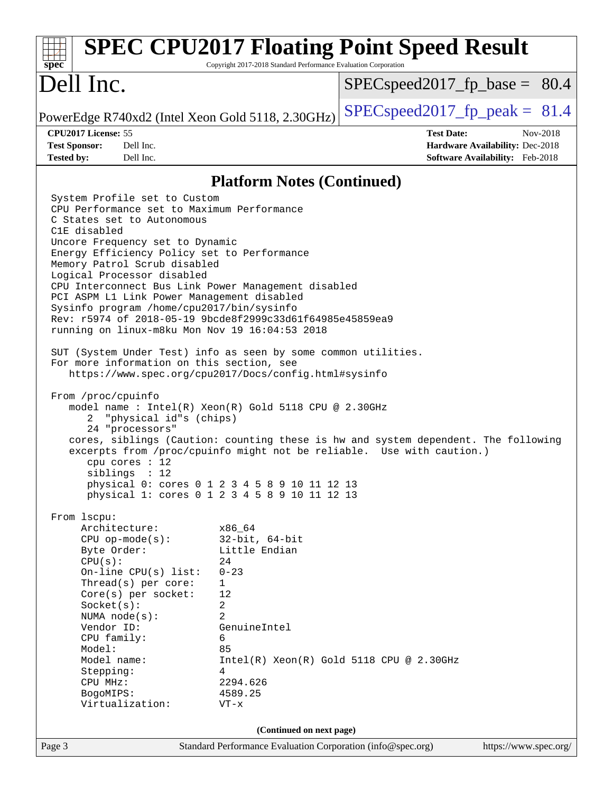| spec <sup>®</sup>                                                                                                                                                                                                                                                                                                                                                                                                                                                                                                                                                                                                                                                                                                                                                                                                                                                                                                                                                                                                                                                                                                                                                                                                                     | Copyright 2017-2018 Standard Performance Evaluation Corporation                                                   | <b>SPEC CPU2017 Floating Point Speed Result</b>                                                                                                                                                         |
|---------------------------------------------------------------------------------------------------------------------------------------------------------------------------------------------------------------------------------------------------------------------------------------------------------------------------------------------------------------------------------------------------------------------------------------------------------------------------------------------------------------------------------------------------------------------------------------------------------------------------------------------------------------------------------------------------------------------------------------------------------------------------------------------------------------------------------------------------------------------------------------------------------------------------------------------------------------------------------------------------------------------------------------------------------------------------------------------------------------------------------------------------------------------------------------------------------------------------------------|-------------------------------------------------------------------------------------------------------------------|---------------------------------------------------------------------------------------------------------------------------------------------------------------------------------------------------------|
| Dell Inc.                                                                                                                                                                                                                                                                                                                                                                                                                                                                                                                                                                                                                                                                                                                                                                                                                                                                                                                                                                                                                                                                                                                                                                                                                             |                                                                                                                   | $SPEC speed2017_f p\_base = 80.4$                                                                                                                                                                       |
| PowerEdge R740xd2 (Intel Xeon Gold 5118, 2.30GHz)                                                                                                                                                                                                                                                                                                                                                                                                                                                                                                                                                                                                                                                                                                                                                                                                                                                                                                                                                                                                                                                                                                                                                                                     |                                                                                                                   | $SPEC speed2017fp peak = 81.4$                                                                                                                                                                          |
| CPU2017 License: 55<br><b>Test Sponsor:</b><br>Dell Inc.<br><b>Tested by:</b><br>Dell Inc.                                                                                                                                                                                                                                                                                                                                                                                                                                                                                                                                                                                                                                                                                                                                                                                                                                                                                                                                                                                                                                                                                                                                            |                                                                                                                   | <b>Test Date:</b><br>Nov-2018<br>Hardware Availability: Dec-2018<br>Software Availability: Feb-2018                                                                                                     |
|                                                                                                                                                                                                                                                                                                                                                                                                                                                                                                                                                                                                                                                                                                                                                                                                                                                                                                                                                                                                                                                                                                                                                                                                                                       | <b>Platform Notes (Continued)</b>                                                                                 |                                                                                                                                                                                                         |
| System Profile set to Custom<br>CPU Performance set to Maximum Performance<br>C States set to Autonomous<br>C1E disabled<br>Uncore Frequency set to Dynamic<br>Energy Efficiency Policy set to Performance<br>Memory Patrol Scrub disabled<br>Logical Processor disabled<br>CPU Interconnect Bus Link Power Management disabled<br>PCI ASPM L1 Link Power Management disabled<br>Sysinfo program /home/cpu2017/bin/sysinfo<br>Rev: r5974 of 2018-05-19 9bcde8f2999c33d61f64985e45859ea9<br>running on linux-m8ku Mon Nov 19 16:04:53 2018<br>SUT (System Under Test) info as seen by some common utilities.<br>For more information on this section, see<br>https://www.spec.org/cpu2017/Docs/config.html#sysinfo<br>From /proc/cpuinfo<br>model name : Intel(R) Xeon(R) Gold 5118 CPU @ 2.30GHz<br>"physical id"s (chips)<br>2<br>24 "processors"<br>cpu cores : 12<br>siblings : 12<br>physical 0: cores 0 1 2 3 4 5 8 9 10 11 12 13<br>physical 1: cores 0 1 2 3 4 5 8 9 10 11 12 13<br>From 1scpu:<br>Architecture:<br>$CPU$ op-mode( $s$ ):<br>Byte Order:<br>CPU(s):<br>On-line CPU(s) list:<br>Thread(s) per core:<br>Core(s) per socket:<br>Socket(s):<br>NUMA node(s):<br>Vendor ID:<br>CPU family:<br>Model:<br>Model name: | x86_64<br>$32$ -bit, $64$ -bit<br>Little Endian<br>24<br>$0 - 23$<br>1<br>12<br>2<br>2<br>GenuineIntel<br>6<br>85 | cores, siblings (Caution: counting these is hw and system dependent. The following<br>excerpts from /proc/cpuinfo might not be reliable. Use with caution.)<br>Intel(R) Xeon(R) Gold 5118 CPU @ 2.30GHz |
| Stepping:<br>CPU MHz:<br>BogoMIPS:                                                                                                                                                                                                                                                                                                                                                                                                                                                                                                                                                                                                                                                                                                                                                                                                                                                                                                                                                                                                                                                                                                                                                                                                    | 4<br>2294.626<br>4589.25                                                                                          |                                                                                                                                                                                                         |
| Virtualization:                                                                                                                                                                                                                                                                                                                                                                                                                                                                                                                                                                                                                                                                                                                                                                                                                                                                                                                                                                                                                                                                                                                                                                                                                       | $VT - x$                                                                                                          |                                                                                                                                                                                                         |
| Page 3                                                                                                                                                                                                                                                                                                                                                                                                                                                                                                                                                                                                                                                                                                                                                                                                                                                                                                                                                                                                                                                                                                                                                                                                                                | (Continued on next page)<br>Standard Performance Evaluation Corporation (info@spec.org)                           | https://www.spec.org/                                                                                                                                                                                   |
|                                                                                                                                                                                                                                                                                                                                                                                                                                                                                                                                                                                                                                                                                                                                                                                                                                                                                                                                                                                                                                                                                                                                                                                                                                       |                                                                                                                   |                                                                                                                                                                                                         |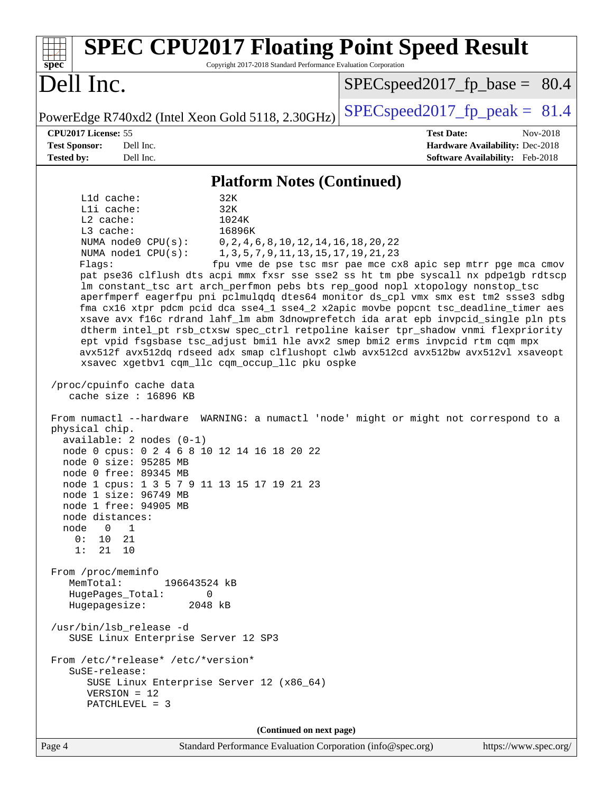| <b>SPEC CPU2017 Floating Point Speed Result</b><br>Copyright 2017-2018 Standard Performance Evaluation Corporation<br>$spec^*$                                                                                                                                                                                                                                                                                                                                                                                                                                                                                                                                                                                                                                                                                                                                                                                                                                                                                                                                                                                                                                                                                                                                                                                                                                                                                                                                                                                                                                                                                                                                                                                                                                                                                             |                                                                                                            |  |  |  |  |  |
|----------------------------------------------------------------------------------------------------------------------------------------------------------------------------------------------------------------------------------------------------------------------------------------------------------------------------------------------------------------------------------------------------------------------------------------------------------------------------------------------------------------------------------------------------------------------------------------------------------------------------------------------------------------------------------------------------------------------------------------------------------------------------------------------------------------------------------------------------------------------------------------------------------------------------------------------------------------------------------------------------------------------------------------------------------------------------------------------------------------------------------------------------------------------------------------------------------------------------------------------------------------------------------------------------------------------------------------------------------------------------------------------------------------------------------------------------------------------------------------------------------------------------------------------------------------------------------------------------------------------------------------------------------------------------------------------------------------------------------------------------------------------------------------------------------------------------|------------------------------------------------------------------------------------------------------------|--|--|--|--|--|
| Dell Inc.                                                                                                                                                                                                                                                                                                                                                                                                                                                                                                                                                                                                                                                                                                                                                                                                                                                                                                                                                                                                                                                                                                                                                                                                                                                                                                                                                                                                                                                                                                                                                                                                                                                                                                                                                                                                                  | $SPEC speed2017_f p\_base = 80.4$                                                                          |  |  |  |  |  |
| PowerEdge R740xd2 (Intel Xeon Gold 5118, 2.30GHz)                                                                                                                                                                                                                                                                                                                                                                                                                                                                                                                                                                                                                                                                                                                                                                                                                                                                                                                                                                                                                                                                                                                                                                                                                                                                                                                                                                                                                                                                                                                                                                                                                                                                                                                                                                          | $SPEC speed2017_fp\_peak = 81.4$                                                                           |  |  |  |  |  |
| CPU2017 License: 55<br><b>Test Sponsor:</b><br>Dell Inc.<br>Dell Inc.<br><b>Tested by:</b>                                                                                                                                                                                                                                                                                                                                                                                                                                                                                                                                                                                                                                                                                                                                                                                                                                                                                                                                                                                                                                                                                                                                                                                                                                                                                                                                                                                                                                                                                                                                                                                                                                                                                                                                 | <b>Test Date:</b><br>Nov-2018<br>Hardware Availability: Dec-2018<br><b>Software Availability:</b> Feb-2018 |  |  |  |  |  |
|                                                                                                                                                                                                                                                                                                                                                                                                                                                                                                                                                                                                                                                                                                                                                                                                                                                                                                                                                                                                                                                                                                                                                                                                                                                                                                                                                                                                                                                                                                                                                                                                                                                                                                                                                                                                                            |                                                                                                            |  |  |  |  |  |
| <b>Platform Notes (Continued)</b><br>L1d cache:<br>32K<br>32K<br>Lli cache:<br>L2 cache:<br>1024K<br>16896K<br>L3 cache:<br>NUMA node0 CPU(s):<br>$0, 2, 4, 6, 8, 10, 12, 14, 16, 18, 20, 22$<br>NUMA nodel CPU(s):<br>1, 3, 5, 7, 9, 11, 13, 15, 17, 19, 21, 23<br>Flags:<br>fpu vme de pse tsc msr pae mce cx8 apic sep mtrr pge mca cmov<br>pat pse36 clflush dts acpi mmx fxsr sse sse2 ss ht tm pbe syscall nx pdpelgb rdtscp<br>Im constant_tsc art arch_perfmon pebs bts rep_good nopl xtopology nonstop_tsc<br>aperfmperf eagerfpu pni pclmulqdq dtes64 monitor ds_cpl vmx smx est tm2 ssse3 sdbg<br>fma cx16 xtpr pdcm pcid dca sse4_1 sse4_2 x2apic movbe popcnt tsc_deadline_timer aes<br>xsave avx f16c rdrand lahf_lm abm 3dnowprefetch ida arat epb invpcid_single pln pts<br>dtherm intel_pt rsb_ctxsw spec_ctrl retpoline kaiser tpr_shadow vnmi flexpriority<br>ept vpid fsgsbase tsc_adjust bmil hle avx2 smep bmi2 erms invpcid rtm cqm mpx<br>avx512f avx512dq rdseed adx smap clflushopt clwb avx512cd avx512bw avx512vl xsaveopt<br>xsavec xgetbv1 cqm_llc cqm_occup_llc pku ospke<br>/proc/cpuinfo cache data<br>cache size : 16896 KB<br>From numactl --hardware WARNING: a numactl 'node' might or might not correspond to a<br>physical chip.<br>$available: 2 nodes (0-1)$<br>node 0 cpus: 0 2 4 6 8 10 12 14 16 18 20 22<br>node 0 size: 95285 MB<br>node 0 free: 89345 MB<br>node 1 cpus: 1 3 5 7 9 11 13 15 17 19 21 23<br>node 1 size: 96749 MB<br>node 1 free: 94905 MB<br>node distances:<br>$\overline{0}$<br>node<br>$\overline{1}$<br>0:<br>10<br>21<br>1:<br>21<br>10<br>From /proc/meminfo<br>MemTotal:<br>196643524 kB<br>HugePages_Total:<br>0<br>Hugepagesize:<br>2048 kB<br>/usr/bin/lsb_release -d<br>SUSE Linux Enterprise Server 12 SP3<br>From /etc/*release* /etc/*version* |                                                                                                            |  |  |  |  |  |
| SuSE-release:<br>SUSE Linux Enterprise Server 12 (x86_64)<br>$VERSION = 12$<br>PATCHLEVEL = 3                                                                                                                                                                                                                                                                                                                                                                                                                                                                                                                                                                                                                                                                                                                                                                                                                                                                                                                                                                                                                                                                                                                                                                                                                                                                                                                                                                                                                                                                                                                                                                                                                                                                                                                              |                                                                                                            |  |  |  |  |  |
| (Continued on next page)                                                                                                                                                                                                                                                                                                                                                                                                                                                                                                                                                                                                                                                                                                                                                                                                                                                                                                                                                                                                                                                                                                                                                                                                                                                                                                                                                                                                                                                                                                                                                                                                                                                                                                                                                                                                   |                                                                                                            |  |  |  |  |  |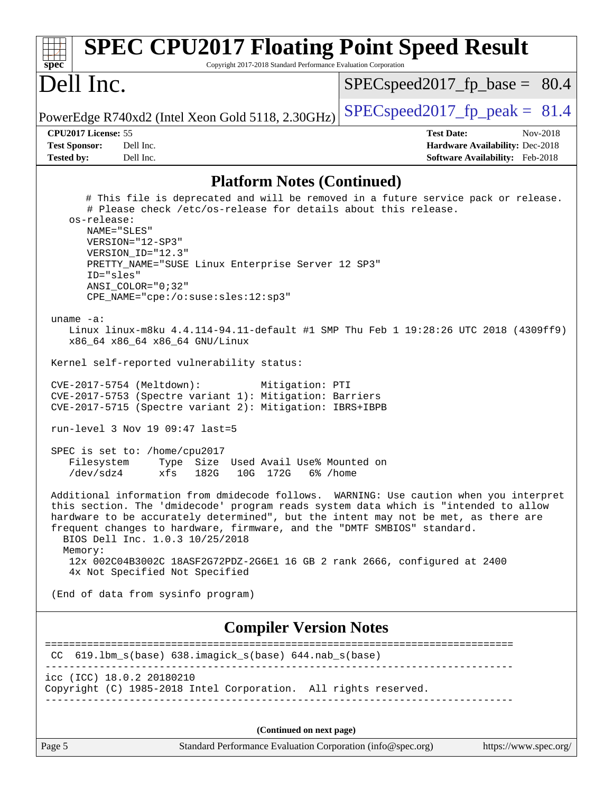| <b>SPEC CPU2017 Floating Point Speed Result</b><br>Copyright 2017-2018 Standard Performance Evaluation Corporation<br>$spec^*$                                                                                                                                                                                                                                                                                                                                                                                                                                                                                                                                                                                                                                                                                                                                                                                                                                                                                                                                                                                                                                                                                                                                                                                                                                                                                                                                         |                                                                                                     |
|------------------------------------------------------------------------------------------------------------------------------------------------------------------------------------------------------------------------------------------------------------------------------------------------------------------------------------------------------------------------------------------------------------------------------------------------------------------------------------------------------------------------------------------------------------------------------------------------------------------------------------------------------------------------------------------------------------------------------------------------------------------------------------------------------------------------------------------------------------------------------------------------------------------------------------------------------------------------------------------------------------------------------------------------------------------------------------------------------------------------------------------------------------------------------------------------------------------------------------------------------------------------------------------------------------------------------------------------------------------------------------------------------------------------------------------------------------------------|-----------------------------------------------------------------------------------------------------|
| Dell Inc.                                                                                                                                                                                                                                                                                                                                                                                                                                                                                                                                                                                                                                                                                                                                                                                                                                                                                                                                                                                                                                                                                                                                                                                                                                                                                                                                                                                                                                                              | $SPEC speed2017_f p\_base = 80.4$                                                                   |
| PowerEdge R740xd2 (Intel Xeon Gold 5118, 2.30GHz)                                                                                                                                                                                                                                                                                                                                                                                                                                                                                                                                                                                                                                                                                                                                                                                                                                                                                                                                                                                                                                                                                                                                                                                                                                                                                                                                                                                                                      | $SPEC speed2017fr peak = 81.4$                                                                      |
| CPU2017 License: 55<br><b>Test Sponsor:</b><br>Dell Inc.<br><b>Tested by:</b><br>Dell Inc.                                                                                                                                                                                                                                                                                                                                                                                                                                                                                                                                                                                                                                                                                                                                                                                                                                                                                                                                                                                                                                                                                                                                                                                                                                                                                                                                                                             | <b>Test Date:</b><br>Nov-2018<br>Hardware Availability: Dec-2018<br>Software Availability: Feb-2018 |
| <b>Platform Notes (Continued)</b>                                                                                                                                                                                                                                                                                                                                                                                                                                                                                                                                                                                                                                                                                                                                                                                                                                                                                                                                                                                                                                                                                                                                                                                                                                                                                                                                                                                                                                      |                                                                                                     |
| # This file is deprecated and will be removed in a future service pack or release.<br># Please check /etc/os-release for details about this release.<br>os-release:<br>NAME="SLES"<br>VERSION="12-SP3"<br>VERSION_ID="12.3"<br>PRETTY_NAME="SUSE Linux Enterprise Server 12 SP3"<br>ID="sles"<br>ANSI COLOR="0;32"<br>CPE_NAME="cpe:/o:suse:sles:12:sp3"<br>uname $-a$ :<br>Linux linux-m8ku 4.4.114-94.11-default #1 SMP Thu Feb 1 19:28:26 UTC 2018 (4309ff9)<br>x86_64 x86_64 x86_64 GNU/Linux<br>Kernel self-reported vulnerability status:<br>CVE-2017-5754 (Meltdown):<br>Mitigation: PTI<br>CVE-2017-5753 (Spectre variant 1): Mitigation: Barriers<br>CVE-2017-5715 (Spectre variant 2): Mitigation: IBRS+IBPB<br>run-level 3 Nov 19 09:47 last=5<br>SPEC is set to: /home/cpu2017<br>Filesystem<br>Type Size Used Avail Use% Mounted on<br>$/\text{dev/s}$ dz4<br>xfs<br>182G<br>172G<br>10G<br>6% /home<br>Additional information from dmidecode follows. WARNING: Use caution when you interpret<br>this section. The 'dmidecode' program reads system data which is "intended to allow<br>hardware to be accurately determined", but the intent may not be met, as there are<br>frequent changes to hardware, firmware, and the "DMTF SMBIOS" standard.<br>BIOS Dell Inc. 1.0.3 10/25/2018<br>Memory:<br>12x 002C04B3002C 18ASF2G72PDZ-2G6E1 16 GB 2 rank 2666, configured at 2400<br>4x Not Specified Not Specified<br>(End of data from sysinfo program) |                                                                                                     |
| <b>Compiler Version Notes</b>                                                                                                                                                                                                                                                                                                                                                                                                                                                                                                                                                                                                                                                                                                                                                                                                                                                                                                                                                                                                                                                                                                                                                                                                                                                                                                                                                                                                                                          |                                                                                                     |
| CC 619.1bm_s(base) 638.imagick_s(base) 644.nab_s(base)                                                                                                                                                                                                                                                                                                                                                                                                                                                                                                                                                                                                                                                                                                                                                                                                                                                                                                                                                                                                                                                                                                                                                                                                                                                                                                                                                                                                                 | =======================<br>======                                                                   |
| icc (ICC) 18.0.2 20180210<br>Copyright (C) 1985-2018 Intel Corporation. All rights reserved.                                                                                                                                                                                                                                                                                                                                                                                                                                                                                                                                                                                                                                                                                                                                                                                                                                                                                                                                                                                                                                                                                                                                                                                                                                                                                                                                                                           |                                                                                                     |
| (Continued on next page)                                                                                                                                                                                                                                                                                                                                                                                                                                                                                                                                                                                                                                                                                                                                                                                                                                                                                                                                                                                                                                                                                                                                                                                                                                                                                                                                                                                                                                               |                                                                                                     |
| Page 5<br>Standard Performance Evaluation Corporation (info@spec.org)                                                                                                                                                                                                                                                                                                                                                                                                                                                                                                                                                                                                                                                                                                                                                                                                                                                                                                                                                                                                                                                                                                                                                                                                                                                                                                                                                                                                  | https://www.spec.org/                                                                               |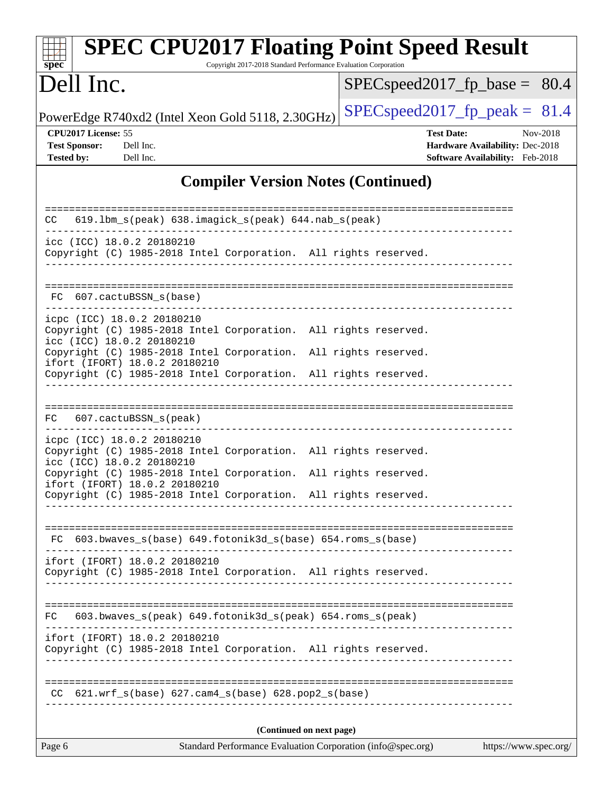| <b>SPEC CPU2017 Floating Point Speed Result</b><br>spec<br>Copyright 2017-2018 Standard Performance Evaluation Corporation                                          |                                                                                                     |  |  |  |
|---------------------------------------------------------------------------------------------------------------------------------------------------------------------|-----------------------------------------------------------------------------------------------------|--|--|--|
| Dell Inc.                                                                                                                                                           | $SPEC speed2017_f p\_base = 80.4$                                                                   |  |  |  |
| PowerEdge R740xd2 (Intel Xeon Gold 5118, 2.30GHz)                                                                                                                   | $SPEC speed2017_fp\_peak = 81.4$                                                                    |  |  |  |
| CPU2017 License: 55<br><b>Test Sponsor:</b><br>Dell Inc.<br><b>Tested by:</b><br>Dell Inc.                                                                          | <b>Test Date:</b><br>Nov-2018<br>Hardware Availability: Dec-2018<br>Software Availability: Feb-2018 |  |  |  |
| <b>Compiler Version Notes (Continued)</b>                                                                                                                           |                                                                                                     |  |  |  |
| CC 619.1bm_s(peak) 638.imagick_s(peak) 644.nab_s(peak)                                                                                                              | =====================================                                                               |  |  |  |
| icc (ICC) 18.0.2 20180210<br>Copyright (C) 1985-2018 Intel Corporation. All rights reserved.                                                                        |                                                                                                     |  |  |  |
| FC 607.cactuBSSN_s(base)                                                                                                                                            |                                                                                                     |  |  |  |
| icpc (ICC) 18.0.2 20180210<br>Copyright (C) 1985-2018 Intel Corporation. All rights reserved.<br>icc (ICC) 18.0.2 20180210                                          |                                                                                                     |  |  |  |
| Copyright (C) 1985-2018 Intel Corporation. All rights reserved.<br>ifort (IFORT) 18.0.2 20180210<br>Copyright (C) 1985-2018 Intel Corporation. All rights reserved. |                                                                                                     |  |  |  |
| FC 607.cactuBSSN_s(peak)                                                                                                                                            |                                                                                                     |  |  |  |
| icpc (ICC) 18.0.2 20180210<br>Copyright (C) 1985-2018 Intel Corporation. All rights reserved.<br>icc (ICC) 18.0.2 20180210                                          |                                                                                                     |  |  |  |
| Copyright (C) 1985-2018 Intel Corporation. All rights reserved.<br>ifort (IFORT) 18.0.2 20180210<br>Copyright (C) 1985-2018 Intel Corporation. All rights reserved. |                                                                                                     |  |  |  |
| FC 603.bwaves_s(base) 649.fotonik3d_s(base) 654.roms_s(base)                                                                                                        |                                                                                                     |  |  |  |
| ifort (IFORT) 18.0.2 20180210<br>Copyright (C) 1985-2018 Intel Corporation. All rights reserved.                                                                    |                                                                                                     |  |  |  |
| 603.bwaves_s(peak) 649.fotonik3d_s(peak) 654.roms_s(peak)<br>FC.                                                                                                    |                                                                                                     |  |  |  |
| ifort (IFORT) 18.0.2 20180210<br>Copyright (C) 1985-2018 Intel Corporation. All rights reserved.                                                                    |                                                                                                     |  |  |  |
| $CC$ 621.wrf_s(base) 627.cam4_s(base) 628.pop2_s(base)                                                                                                              |                                                                                                     |  |  |  |
| (Continued on next page)                                                                                                                                            |                                                                                                     |  |  |  |
| Standard Performance Evaluation Corporation (info@spec.org)<br>Page 6                                                                                               | https://www.spec.org/                                                                               |  |  |  |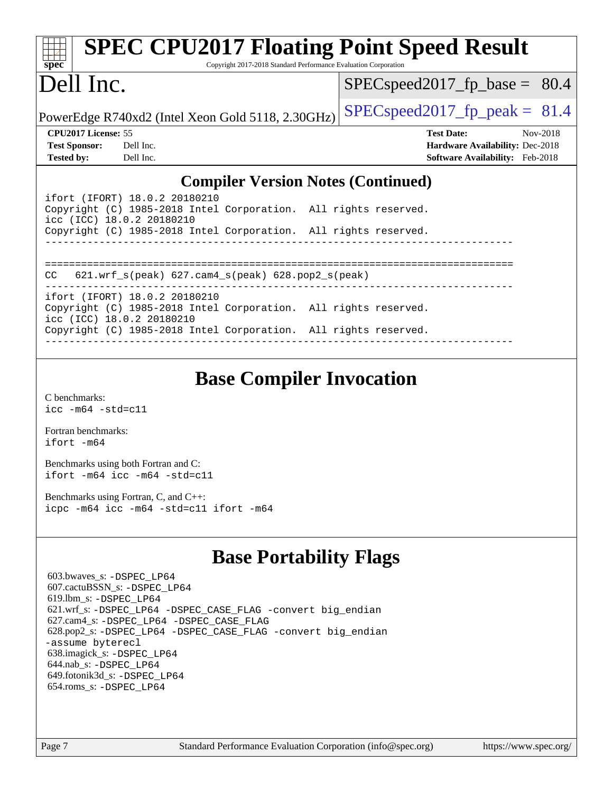| <b>SPEC CPU2017 Floating Point Speed Result</b>                                     |                                                                                                                               |  |                                        |  |  |  |
|-------------------------------------------------------------------------------------|-------------------------------------------------------------------------------------------------------------------------------|--|----------------------------------------|--|--|--|
| spec                                                                                | Copyright 2017-2018 Standard Performance Evaluation Corporation                                                               |  |                                        |  |  |  |
| Dell Inc.                                                                           |                                                                                                                               |  | $SPEC speed2017_f p\_base = 80.4$      |  |  |  |
|                                                                                     | PowerEdge R740xd2 (Intel Xeon Gold 5118, 2.30GHz)                                                                             |  | $SPEC speed2017fp peak = 81.4$         |  |  |  |
| CPU <sub>2017</sub> License: 55                                                     |                                                                                                                               |  | <b>Test Date:</b><br>Nov-2018          |  |  |  |
| <b>Test Sponsor:</b>                                                                | Dell Inc.                                                                                                                     |  | <b>Hardware Availability: Dec-2018</b> |  |  |  |
| <b>Tested by:</b>                                                                   | Dell Inc.                                                                                                                     |  | <b>Software Availability:</b> Feb-2018 |  |  |  |
| <b>Compiler Version Notes (Continued)</b>                                           |                                                                                                                               |  |                                        |  |  |  |
|                                                                                     | ifort (IFORT) 18.0.2 20180210<br>Copyright (C) 1985-2018 Intel Corporation. All rights reserved.<br>icc (ICC) 18.0.2 20180210 |  |                                        |  |  |  |
|                                                                                     | Copyright (C) 1985-2018 Intel Corporation. All rights reserved.                                                               |  |                                        |  |  |  |
| 621.wrf $s(\text{peak})$ 627.cam4 $s(\text{peak})$ 628.pop2 $s(\text{peak})$<br>CC. |                                                                                                                               |  |                                        |  |  |  |
|                                                                                     | ifort (IFORT) 18.0.2 20180210<br>Copyright (C) 1985-2018 Intel Corporation. All rights reserved.<br>icc (ICC) 18.0.2 20180210 |  |                                        |  |  |  |

Copyright (C) 1985-2018 Intel Corporation. All rights reserved. ------------------------------------------------------------------------------

## **[Base Compiler Invocation](http://www.spec.org/auto/cpu2017/Docs/result-fields.html#BaseCompilerInvocation)**

[C benchmarks](http://www.spec.org/auto/cpu2017/Docs/result-fields.html#Cbenchmarks): [icc -m64 -std=c11](http://www.spec.org/cpu2017/results/res2018q4/cpu2017-20181210-10190.flags.html#user_CCbase_intel_icc_64bit_c11_33ee0cdaae7deeeab2a9725423ba97205ce30f63b9926c2519791662299b76a0318f32ddfffdc46587804de3178b4f9328c46fa7c2b0cd779d7a61945c91cd35)

[Fortran benchmarks](http://www.spec.org/auto/cpu2017/Docs/result-fields.html#Fortranbenchmarks): [ifort -m64](http://www.spec.org/cpu2017/results/res2018q4/cpu2017-20181210-10190.flags.html#user_FCbase_intel_ifort_64bit_24f2bb282fbaeffd6157abe4f878425411749daecae9a33200eee2bee2fe76f3b89351d69a8130dd5949958ce389cf37ff59a95e7a40d588e8d3a57e0c3fd751)

[Benchmarks using both Fortran and C](http://www.spec.org/auto/cpu2017/Docs/result-fields.html#BenchmarksusingbothFortranandC): [ifort -m64](http://www.spec.org/cpu2017/results/res2018q4/cpu2017-20181210-10190.flags.html#user_CC_FCbase_intel_ifort_64bit_24f2bb282fbaeffd6157abe4f878425411749daecae9a33200eee2bee2fe76f3b89351d69a8130dd5949958ce389cf37ff59a95e7a40d588e8d3a57e0c3fd751) [icc -m64 -std=c11](http://www.spec.org/cpu2017/results/res2018q4/cpu2017-20181210-10190.flags.html#user_CC_FCbase_intel_icc_64bit_c11_33ee0cdaae7deeeab2a9725423ba97205ce30f63b9926c2519791662299b76a0318f32ddfffdc46587804de3178b4f9328c46fa7c2b0cd779d7a61945c91cd35)

[Benchmarks using Fortran, C, and C++:](http://www.spec.org/auto/cpu2017/Docs/result-fields.html#BenchmarksusingFortranCandCXX) [icpc -m64](http://www.spec.org/cpu2017/results/res2018q4/cpu2017-20181210-10190.flags.html#user_CC_CXX_FCbase_intel_icpc_64bit_4ecb2543ae3f1412ef961e0650ca070fec7b7afdcd6ed48761b84423119d1bf6bdf5cad15b44d48e7256388bc77273b966e5eb805aefd121eb22e9299b2ec9d9) [icc -m64 -std=c11](http://www.spec.org/cpu2017/results/res2018q4/cpu2017-20181210-10190.flags.html#user_CC_CXX_FCbase_intel_icc_64bit_c11_33ee0cdaae7deeeab2a9725423ba97205ce30f63b9926c2519791662299b76a0318f32ddfffdc46587804de3178b4f9328c46fa7c2b0cd779d7a61945c91cd35) [ifort -m64](http://www.spec.org/cpu2017/results/res2018q4/cpu2017-20181210-10190.flags.html#user_CC_CXX_FCbase_intel_ifort_64bit_24f2bb282fbaeffd6157abe4f878425411749daecae9a33200eee2bee2fe76f3b89351d69a8130dd5949958ce389cf37ff59a95e7a40d588e8d3a57e0c3fd751)

## **[Base Portability Flags](http://www.spec.org/auto/cpu2017/Docs/result-fields.html#BasePortabilityFlags)**

 603.bwaves\_s: [-DSPEC\\_LP64](http://www.spec.org/cpu2017/results/res2018q4/cpu2017-20181210-10190.flags.html#suite_basePORTABILITY603_bwaves_s_DSPEC_LP64) 607.cactuBSSN\_s: [-DSPEC\\_LP64](http://www.spec.org/cpu2017/results/res2018q4/cpu2017-20181210-10190.flags.html#suite_basePORTABILITY607_cactuBSSN_s_DSPEC_LP64) 619.lbm\_s: [-DSPEC\\_LP64](http://www.spec.org/cpu2017/results/res2018q4/cpu2017-20181210-10190.flags.html#suite_basePORTABILITY619_lbm_s_DSPEC_LP64) 621.wrf\_s: [-DSPEC\\_LP64](http://www.spec.org/cpu2017/results/res2018q4/cpu2017-20181210-10190.flags.html#suite_basePORTABILITY621_wrf_s_DSPEC_LP64) [-DSPEC\\_CASE\\_FLAG](http://www.spec.org/cpu2017/results/res2018q4/cpu2017-20181210-10190.flags.html#b621.wrf_s_baseCPORTABILITY_DSPEC_CASE_FLAG) [-convert big\\_endian](http://www.spec.org/cpu2017/results/res2018q4/cpu2017-20181210-10190.flags.html#user_baseFPORTABILITY621_wrf_s_convert_big_endian_c3194028bc08c63ac5d04de18c48ce6d347e4e562e8892b8bdbdc0214820426deb8554edfa529a3fb25a586e65a3d812c835984020483e7e73212c4d31a38223) 627.cam4\_s: [-DSPEC\\_LP64](http://www.spec.org/cpu2017/results/res2018q4/cpu2017-20181210-10190.flags.html#suite_basePORTABILITY627_cam4_s_DSPEC_LP64) [-DSPEC\\_CASE\\_FLAG](http://www.spec.org/cpu2017/results/res2018q4/cpu2017-20181210-10190.flags.html#b627.cam4_s_baseCPORTABILITY_DSPEC_CASE_FLAG) 628.pop2\_s: [-DSPEC\\_LP64](http://www.spec.org/cpu2017/results/res2018q4/cpu2017-20181210-10190.flags.html#suite_basePORTABILITY628_pop2_s_DSPEC_LP64) [-DSPEC\\_CASE\\_FLAG](http://www.spec.org/cpu2017/results/res2018q4/cpu2017-20181210-10190.flags.html#b628.pop2_s_baseCPORTABILITY_DSPEC_CASE_FLAG) [-convert big\\_endian](http://www.spec.org/cpu2017/results/res2018q4/cpu2017-20181210-10190.flags.html#user_baseFPORTABILITY628_pop2_s_convert_big_endian_c3194028bc08c63ac5d04de18c48ce6d347e4e562e8892b8bdbdc0214820426deb8554edfa529a3fb25a586e65a3d812c835984020483e7e73212c4d31a38223) [-assume byterecl](http://www.spec.org/cpu2017/results/res2018q4/cpu2017-20181210-10190.flags.html#user_baseFPORTABILITY628_pop2_s_assume_byterecl_7e47d18b9513cf18525430bbf0f2177aa9bf368bc7a059c09b2c06a34b53bd3447c950d3f8d6c70e3faf3a05c8557d66a5798b567902e8849adc142926523472) 638.imagick\_s: [-DSPEC\\_LP64](http://www.spec.org/cpu2017/results/res2018q4/cpu2017-20181210-10190.flags.html#suite_basePORTABILITY638_imagick_s_DSPEC_LP64) 644.nab\_s: [-DSPEC\\_LP64](http://www.spec.org/cpu2017/results/res2018q4/cpu2017-20181210-10190.flags.html#suite_basePORTABILITY644_nab_s_DSPEC_LP64) 649.fotonik3d\_s: [-DSPEC\\_LP64](http://www.spec.org/cpu2017/results/res2018q4/cpu2017-20181210-10190.flags.html#suite_basePORTABILITY649_fotonik3d_s_DSPEC_LP64) 654.roms\_s: [-DSPEC\\_LP64](http://www.spec.org/cpu2017/results/res2018q4/cpu2017-20181210-10190.flags.html#suite_basePORTABILITY654_roms_s_DSPEC_LP64)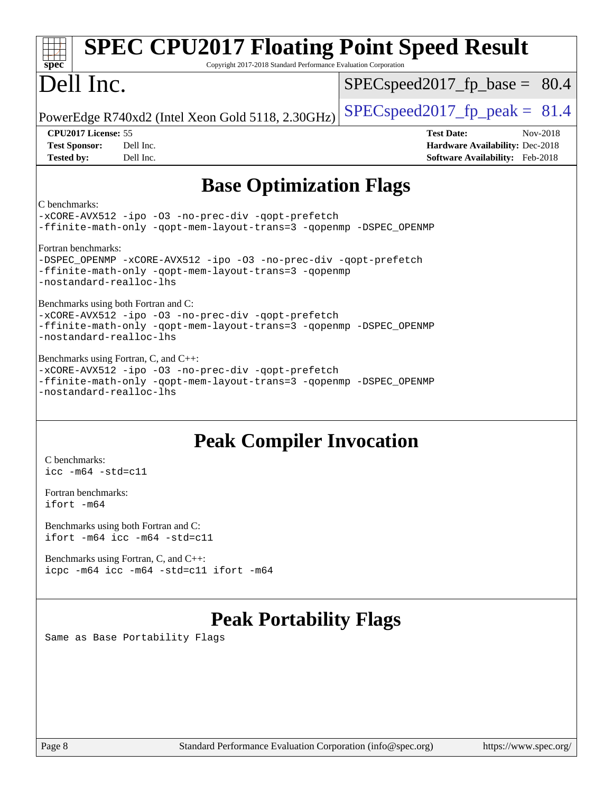| <b>SPEC CPU2017 Floating Point Speed Result</b><br>spec<br>Copyright 2017-2018 Standard Performance Evaluation Corporation                                                                   |                                                                                                     |  |  |  |  |
|----------------------------------------------------------------------------------------------------------------------------------------------------------------------------------------------|-----------------------------------------------------------------------------------------------------|--|--|--|--|
| Dell Inc.                                                                                                                                                                                    | $SPEC speed2017_f p\_base = 80.4$                                                                   |  |  |  |  |
| PowerEdge R740xd2 (Intel Xeon Gold 5118, 2.30GHz)                                                                                                                                            | $SPEC speed2017_fp\_peak = 81.4$                                                                    |  |  |  |  |
| CPU2017 License: 55<br>Dell Inc.<br><b>Test Sponsor:</b><br>Dell Inc.<br><b>Tested by:</b>                                                                                                   | <b>Test Date:</b><br>Nov-2018<br>Hardware Availability: Dec-2018<br>Software Availability: Feb-2018 |  |  |  |  |
| <b>Base Optimization Flags</b>                                                                                                                                                               |                                                                                                     |  |  |  |  |
| C benchmarks:<br>-xCORE-AVX512 -ipo -03 -no-prec-div -qopt-prefetch<br>-ffinite-math-only -qopt-mem-layout-trans=3 -qopenmp -DSPEC_OPENMP                                                    |                                                                                                     |  |  |  |  |
| Fortran benchmarks:<br>-DSPEC_OPENMP -xCORE-AVX512 -ipo -03 -no-prec-div -qopt-prefetch<br>-ffinite-math-only -qopt-mem-layout-trans=3 -qopenmp<br>-nostandard-realloc-lhs                   |                                                                                                     |  |  |  |  |
| Benchmarks using both Fortran and C:<br>-xCORE-AVX512 -ipo -03 -no-prec-div -qopt-prefetch<br>-ffinite-math-only -qopt-mem-layout-trans=3 -qopenmp -DSPEC_OPENMP<br>-nostandard-realloc-lhs  |                                                                                                     |  |  |  |  |
| Benchmarks using Fortran, C, and C++:<br>-xCORE-AVX512 -ipo -03 -no-prec-div -qopt-prefetch<br>-ffinite-math-only -qopt-mem-layout-trans=3 -qopenmp -DSPEC_OPENMP<br>-nostandard-realloc-lhs |                                                                                                     |  |  |  |  |
| <b>Peak Compiler Invocation</b><br>C benchmarks:<br>$\text{icc -m64 -std=c11}$                                                                                                               |                                                                                                     |  |  |  |  |

[Fortran benchmarks](http://www.spec.org/auto/cpu2017/Docs/result-fields.html#Fortranbenchmarks): [ifort -m64](http://www.spec.org/cpu2017/results/res2018q4/cpu2017-20181210-10190.flags.html#user_FCpeak_intel_ifort_64bit_24f2bb282fbaeffd6157abe4f878425411749daecae9a33200eee2bee2fe76f3b89351d69a8130dd5949958ce389cf37ff59a95e7a40d588e8d3a57e0c3fd751)

[Benchmarks using both Fortran and C](http://www.spec.org/auto/cpu2017/Docs/result-fields.html#BenchmarksusingbothFortranandC): [ifort -m64](http://www.spec.org/cpu2017/results/res2018q4/cpu2017-20181210-10190.flags.html#user_CC_FCpeak_intel_ifort_64bit_24f2bb282fbaeffd6157abe4f878425411749daecae9a33200eee2bee2fe76f3b89351d69a8130dd5949958ce389cf37ff59a95e7a40d588e8d3a57e0c3fd751) [icc -m64 -std=c11](http://www.spec.org/cpu2017/results/res2018q4/cpu2017-20181210-10190.flags.html#user_CC_FCpeak_intel_icc_64bit_c11_33ee0cdaae7deeeab2a9725423ba97205ce30f63b9926c2519791662299b76a0318f32ddfffdc46587804de3178b4f9328c46fa7c2b0cd779d7a61945c91cd35)

[Benchmarks using Fortran, C, and C++:](http://www.spec.org/auto/cpu2017/Docs/result-fields.html#BenchmarksusingFortranCandCXX) [icpc -m64](http://www.spec.org/cpu2017/results/res2018q4/cpu2017-20181210-10190.flags.html#user_CC_CXX_FCpeak_intel_icpc_64bit_4ecb2543ae3f1412ef961e0650ca070fec7b7afdcd6ed48761b84423119d1bf6bdf5cad15b44d48e7256388bc77273b966e5eb805aefd121eb22e9299b2ec9d9) [icc -m64 -std=c11](http://www.spec.org/cpu2017/results/res2018q4/cpu2017-20181210-10190.flags.html#user_CC_CXX_FCpeak_intel_icc_64bit_c11_33ee0cdaae7deeeab2a9725423ba97205ce30f63b9926c2519791662299b76a0318f32ddfffdc46587804de3178b4f9328c46fa7c2b0cd779d7a61945c91cd35) [ifort -m64](http://www.spec.org/cpu2017/results/res2018q4/cpu2017-20181210-10190.flags.html#user_CC_CXX_FCpeak_intel_ifort_64bit_24f2bb282fbaeffd6157abe4f878425411749daecae9a33200eee2bee2fe76f3b89351d69a8130dd5949958ce389cf37ff59a95e7a40d588e8d3a57e0c3fd751)

## **[Peak Portability Flags](http://www.spec.org/auto/cpu2017/Docs/result-fields.html#PeakPortabilityFlags)**

Same as Base Portability Flags